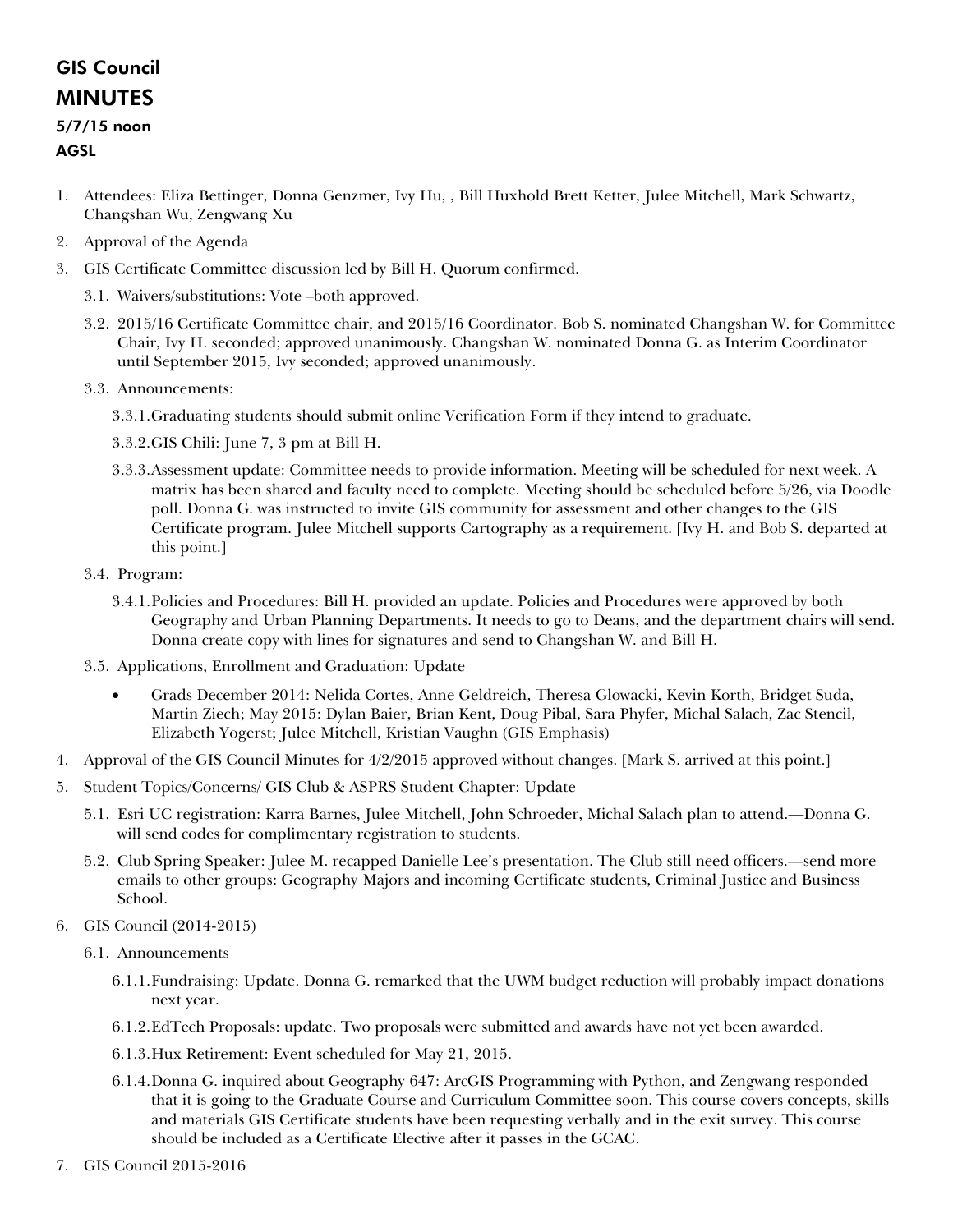## GIS Council MINUTES

## 5/7/15 noon

## AGSL

- 1. Attendees: Eliza Bettinger, Donna Genzmer, Ivy Hu, , Bill Huxhold Brett Ketter, Julee Mitchell, Mark Schwartz, Changshan Wu, Zengwang Xu
- 2. Approval of the Agenda
- 3. GIS Certificate Committee discussion led by Bill H. Quorum confirmed.
	- 3.1. Waivers/substitutions: Vote –both approved.
	- 3.2. 2015/16 Certificate Committee chair, and 2015/16 Coordinator. Bob S. nominated Changshan W. for Committee Chair, Ivy H. seconded; approved unanimously. Changshan W. nominated Donna G. as Interim Coordinator until September 2015, Ivy seconded; approved unanimously.
	- 3.3. Announcements:
		- 3.3.1.Graduating students should submit online Verification Form if they intend to graduate.
		- 3.3.2.GIS Chili: June 7, 3 pm at Bill H.
		- 3.3.3.Assessment update: Committee needs to provide information. Meeting will be scheduled for next week. A matrix has been shared and faculty need to complete. Meeting should be scheduled before 5/26, via Doodle poll. Donna G. was instructed to invite GIS community for assessment and other changes to the GIS Certificate program. Julee Mitchell supports Cartography as a requirement. [Ivy H. and Bob S. departed at this point.]
	- 3.4. Program:
		- 3.4.1.Policies and Procedures: Bill H. provided an update. Policies and Procedures were approved by both Geography and Urban Planning Departments. It needs to go to Deans, and the department chairs will send. Donna create copy with lines for signatures and send to Changshan W. and Bill H.
	- 3.5. Applications, Enrollment and Graduation: Update
		- Grads December 2014: Nelida Cortes, Anne Geldreich, Theresa Glowacki, Kevin Korth, Bridget Suda, Martin Ziech; May 2015: Dylan Baier, Brian Kent, Doug Pibal, Sara Phyfer, Michal Salach, Zac Stencil, Elizabeth Yogerst; Julee Mitchell, Kristian Vaughn (GIS Emphasis)
- 4. Approval of the GIS Council Minutes for 4/2/2015 approved without changes. [Mark S. arrived at this point.]
- 5. Student Topics/Concerns/ GIS Club & ASPRS Student Chapter: Update
	- 5.1. Esri UC registration: Karra Barnes, Julee Mitchell, John Schroeder, Michal Salach plan to attend.—Donna G. will send codes for complimentary registration to students.
	- 5.2. Club Spring Speaker: Julee M. recapped Danielle Lee's presentation. The Club still need officers.—send more emails to other groups: Geography Majors and incoming Certificate students, Criminal Justice and Business School.
- 6. GIS Council (2014-2015)
	- 6.1. Announcements
		- 6.1.1.Fundraising: Update. Donna G. remarked that the UWM budget reduction will probably impact donations next year.
		- 6.1.2.EdTech Proposals: update. Two proposals were submitted and awards have not yet been awarded.
		- 6.1.3.Hux Retirement: Event scheduled for May 21, 2015.
		- 6.1.4.Donna G. inquired about Geography 647: ArcGIS Programming with Python, and Zengwang responded that it is going to the Graduate Course and Curriculum Committee soon. This course covers concepts, skills and materials GIS Certificate students have been requesting verbally and in the exit survey. This course should be included as a Certificate Elective after it passes in the GCAC.
- 7. GIS Council 2015-2016